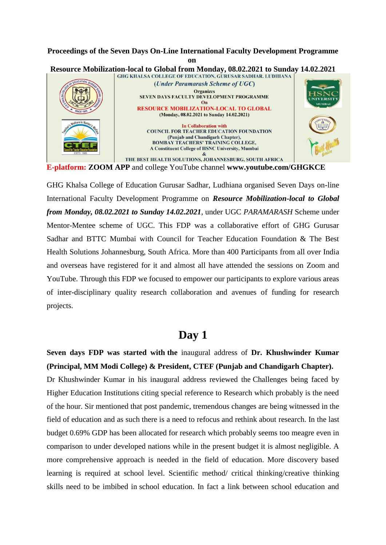### **Proceedings of the Seven Days On-Line International Faculty Development Programme on**



**E-platform: ZOOM APP** and college YouTube channel **www.youtube.com/GHGKCE**

GHG Khalsa College of Education Gurusar Sadhar, Ludhiana organised Seven Days on-line International Faculty Development Programme on *Resource Mobilization-local to Global from Monday, 08.02.2021 to Sunday 14.02.2021*, under UGC *PARAMARASH* Scheme under Mentor-Mentee scheme of UGC. This FDP was a collaborative effort of GHG Gurusar Sadhar and BTTC Mumbai with Council for Teacher Education Foundation & The Best Health Solutions Johannesburg, South Africa. More than 400 Participants from all over India and overseas have registered for it and almost all have attended the sessions on Zoom and YouTube. Through this FDP we focused to empower our participants to explore various areas of inter-disciplinary quality research collaboration and avenues of funding for research projects.

# **Day 1**

**Seven days FDP was started with the** inaugural address of **Dr. Khushwinder Kumar (Principal, MM Modi College) & President, CTEF (Punjab and Chandigarh Chapter).** Dr Khushwinder Kumar in his inaugural address reviewed the Challenges being faced by Higher Education Institutions citing special reference to Research which probably is the need of the hour. Sir mentioned that post pandemic, tremendous changes are being witnessed in the field of education and as such there is a need to refocus and rethink about research. In the last budget 0.69% GDP has been allocated for research which probably seems too meagre even in comparison to under developed nations while in the present budget it is almost negligible. A more comprehensive approach is needed in the field of education. More discovery based learning is required at school level. Scientific method/ critical thinking/creative thinking skills need to be imbibed in school education. In fact a link between school education and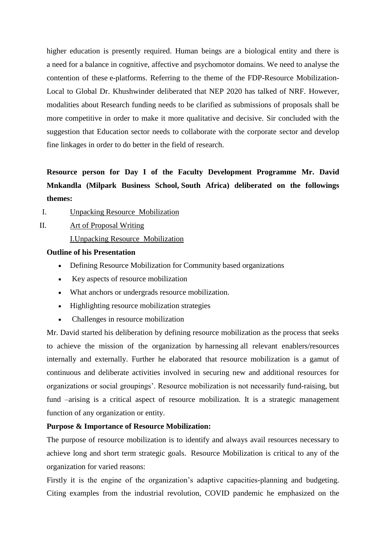higher education is presently required. Human beings are a biological entity and there is a need for a balance in cognitive, affective and psychomotor domains. We need to analyse the contention of these e-platforms. Referring to the theme of the FDP-Resource Mobilization-Local to Global Dr. Khushwinder deliberated that NEP 2020 has talked of NRF. However, modalities about Research funding needs to be clarified as submissions of proposals shall be more competitive in order to make it more qualitative and decisive. Sir concluded with the suggestion that Education sector needs to collaborate with the corporate sector and develop fine linkages in order to do better in the field of research.

# **Resource person for Day I of the Faculty Development Programme Mr. David Mnkandla (Milpark Business School, South Africa) deliberated on the followings themes:**

I. Unpacking Resource Mobilization

II. Art of Proposal Writing

I.Unpacking Resource Mobilization

#### **Outline of his Presentation**

- Defining Resource Mobilization for Community based organizations
- Key aspects of resource mobilization
- What anchors or undergrads resource mobilization.
- Highlighting resource mobilization strategies
- Challenges in resource mobilization

Mr. David started his deliberation by defining resource mobilization as the process that seeks to achieve the mission of the organization by harnessing all relevant enablers/resources internally and externally. Further he elaborated that resource mobilization is a gamut of continuous and deliberate activities involved in securing new and additional resources for organizations or social groupings'. Resource mobilization is not necessarily fund-raising, but fund –arising is a critical aspect of resource mobilization. It is a strategic management function of any organization or entity.

#### **Purpose & Importance of Resource Mobilization:**

The purpose of resource mobilization is to identify and always avail resources necessary to achieve long and short term strategic goals. Resource Mobilization is critical to any of the organization for varied reasons:

Firstly it is the engine of the organization's adaptive capacities-planning and budgeting. Citing examples from the industrial revolution, COVID pandemic he emphasized on the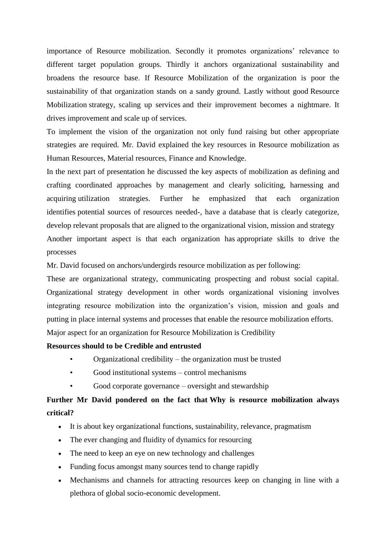importance of Resource mobilization. Secondly it promotes organizations' relevance to different target population groups. Thirdly it anchors organizational sustainability and broadens the resource base. If Resource Mobilization of the organization is poor the sustainability of that organization stands on a sandy ground. Lastly without good Resource Mobilization strategy, scaling up services and their improvement becomes a nightmare. It drives improvement and scale up of services.

To implement the vision of the organization not only fund raising but other appropriate strategies are required. Mr. David explained the key resources in Resource mobilization as Human Resources, Material resources, Finance and Knowledge.

In the next part of presentation he discussed the key aspects of mobilization as defining and crafting coordinated approaches by management and clearly soliciting, harnessing and acquiring utilization strategies. Further he emphasized that each organization identifies potential sources of resources needed-, have a database that is clearly categorize, develop relevant proposals that are aligned to the organizational vision, mission and strategy Another important aspect is that each organization has appropriate skills to drive the processes

Mr. David focused on anchors/undergirds resource mobilization as per following:

These are organizational strategy, communicating prospecting and robust social capital. Organizational strategy development in other words organizational visioning involves integrating resource mobilization into the organization's vision, mission and goals and putting in place internal systems and processes that enable the resource mobilization efforts. Major aspect for an organization for Resource Mobilization is Credibility

#### **Resources should to be Credible and entrusted**

- Organizational credibility the organization must be trusted
- Good institutional systems control mechanisms
- Good corporate governance  $-\omega$  oversight and stewardship

# **Further Mr David pondered on the fact that Why is resource mobilization always critical?**

- It is about key organizational functions, sustainability, relevance, pragmatism
- The ever changing and fluidity of dynamics for resourcing
- The need to keep an eye on new technology and challenges
- Funding focus amongst many sources tend to change rapidly
- Mechanisms and channels for attracting resources keep on changing in line with a plethora of global socio-economic development.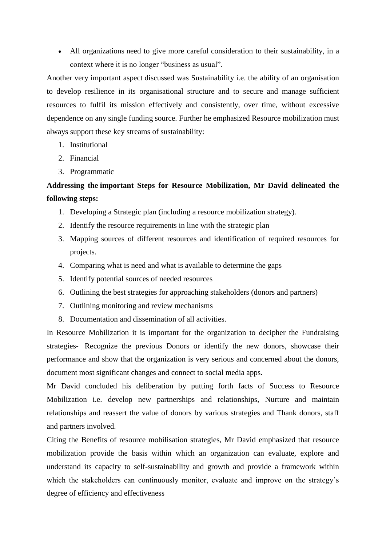All organizations need to give more careful consideration to their sustainability, in a context where it is no longer "business as usual".

Another very important aspect discussed was Sustainability i.e. the ability of an organisation to develop resilience in its organisational structure and to secure and manage sufficient resources to fulfil its mission effectively and consistently, over time, without excessive dependence on any single funding source. Further he emphasized Resource mobilization must always support these key streams of sustainability:

- 1. Institutional
- 2. Financial
- 3. Programmatic

# **Addressing the important Steps for Resource Mobilization, Mr David delineated the following steps:**

- 1. Developing a Strategic plan (including a resource mobilization strategy).
- 2. Identify the resource requirements in line with the strategic plan
- 3. Mapping sources of different resources and identification of required resources for projects.
- 4. Comparing what is need and what is available to determine the gaps
- 5. Identify potential sources of needed resources
- 6. Outlining the best strategies for approaching stakeholders (donors and partners)
- 7. Outlining monitoring and review mechanisms
- 8. Documentation and dissemination of all activities.

In Resource Mobilization it is important for the organization to decipher the Fundraising strategies- Recognize the previous Donors or identify the new donors, showcase their performance and show that the organization is very serious and concerned about the donors, document most significant changes and connect to social media apps.

Mr David concluded his deliberation by putting forth facts of Success to Resource Mobilization i.e. develop new partnerships and relationships, Nurture and maintain relationships and reassert the value of donors by various strategies and Thank donors, staff and partners involved.

Citing the Benefits of resource mobilisation strategies, Mr David emphasized that resource mobilization provide the basis within which an organization can evaluate, explore and understand its capacity to self-sustainability and growth and provide a framework within which the stakeholders can continuously monitor, evaluate and improve on the strategy's degree of efficiency and effectiveness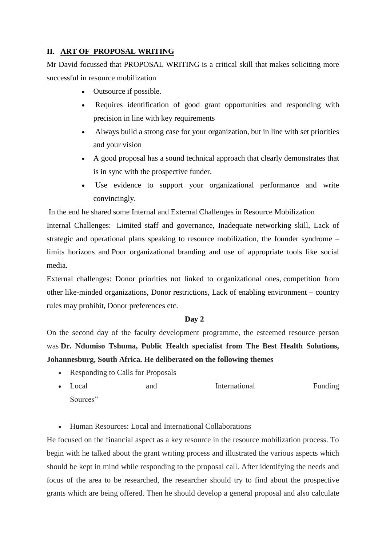## **II. ART OF PROPOSAL WRITING**

Mr David focussed that PROPOSAL WRITING is a critical skill that makes soliciting more successful in resource mobilization

- Outsource if possible.
- Requires identification of good grant opportunities and responding with precision in line with key requirements
- Always build a strong case for your organization, but in line with set priorities and your vision
- A good proposal has a sound technical approach that clearly demonstrates that is in sync with the prospective funder.
- Use evidence to support your organizational performance and write convincingly.

In the end he shared some Internal and External Challenges in Resource Mobilization

Internal Challenges: Limited staff and governance, Inadequate networking skill, Lack of strategic and operational plans speaking to resource mobilization, the founder syndrome – limits horizons and Poor organizational branding and use of appropriate tools like social media.

External challenges: Donor priorities not linked to organizational ones, competition from other like-minded organizations, Donor restrictions, Lack of enabling environment – country rules may prohibit, Donor preferences etc.

#### **Day 2**

On the second day of the faculty development programme, the esteemed resource person was **Dr. Ndumiso Tshuma, Public Health specialist from The Best Health Solutions, Johannesburg, South Africa. He deliberated on the following themes**

- Responding to Calls for Proposals
- Local and International Funding Sources"

Human Resources: Local and International Collaborations

He focused on the financial aspect as a key resource in the resource mobilization process. To begin with he talked about the grant writing process and illustrated the various aspects which should be kept in mind while responding to the proposal call. After identifying the needs and focus of the area to be researched, the researcher should try to find about the prospective grants which are being offered. Then he should develop a general proposal and also calculate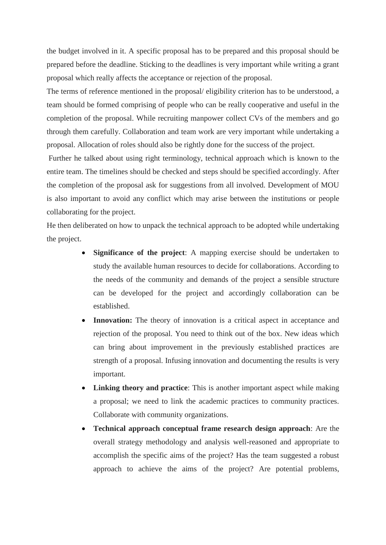the budget involved in it. A specific proposal has to be prepared and this proposal should be prepared before the deadline. Sticking to the deadlines is very important while writing a grant proposal which really affects the acceptance or rejection of the proposal.

The terms of reference mentioned in the proposal/ eligibility criterion has to be understood, a team should be formed comprising of people who can be really cooperative and useful in the completion of the proposal. While recruiting manpower collect CVs of the members and go through them carefully. Collaboration and team work are very important while undertaking a proposal. Allocation of roles should also be rightly done for the success of the project.

Further he talked about using right terminology, technical approach which is known to the entire team. The timelines should be checked and steps should be specified accordingly. After the completion of the proposal ask for suggestions from all involved. Development of MOU is also important to avoid any conflict which may arise between the institutions or people collaborating for the project.

He then deliberated on how to unpack the technical approach to be adopted while undertaking the project.

- **Significance of the project**: A mapping exercise should be undertaken to study the available human resources to decide for collaborations. According to the needs of the community and demands of the project a sensible structure can be developed for the project and accordingly collaboration can be established.
- **Innovation:** The theory of innovation is a critical aspect in acceptance and rejection of the proposal. You need to think out of the box. New ideas which can bring about improvement in the previously established practices are strength of a proposal. Infusing innovation and documenting the results is very important.
- **Linking theory and practice**: This is another important aspect while making a proposal; we need to link the academic practices to community practices. Collaborate with community organizations.
- **Technical approach conceptual frame research design approach**: Are the overall strategy methodology and analysis well-reasoned and appropriate to accomplish the specific aims of the project? Has the team suggested a robust approach to achieve the aims of the project? Are potential problems,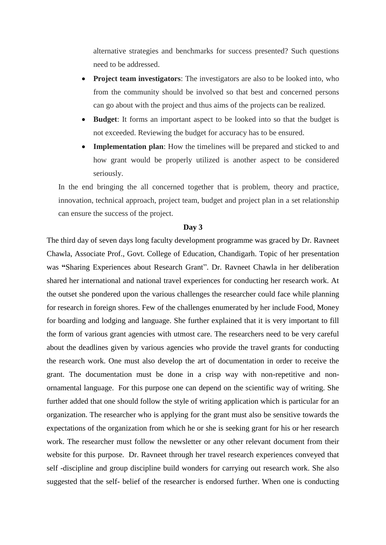alternative strategies and benchmarks for success presented? Such questions need to be addressed.

- **Project team investigators**: The investigators are also to be looked into, who from the community should be involved so that best and concerned persons can go about with the project and thus aims of the projects can be realized.
- **Budget**: It forms an important aspect to be looked into so that the budget is not exceeded. Reviewing the budget for accuracy has to be ensured.
- **Implementation plan**: How the timelines will be prepared and sticked to and how grant would be properly utilized is another aspect to be considered seriously.

In the end bringing the all concerned together that is problem, theory and practice, innovation, technical approach, project team, budget and project plan in a set relationship can ensure the success of the project.

#### **Day 3**

The third day of seven days long faculty development programme was graced by Dr. Ravneet Chawla, Associate Prof., Govt. College of Education, Chandigarh. Topic of her presentation was **"**Sharing Experiences about Research Grant". Dr. Ravneet Chawla in her deliberation shared her international and national travel experiences for conducting her research work. At the outset she pondered upon the various challenges the researcher could face while planning for research in foreign shores. Few of the challenges enumerated by her include Food, Money for boarding and lodging and language. She further explained that it is very important to fill the form of various grant agencies with utmost care. The researchers need to be very careful about the deadlines given by various agencies who provide the travel grants for conducting the research work. One must also develop the art of documentation in order to receive the grant. The documentation must be done in a crisp way with non-repetitive and nonornamental language. For this purpose one can depend on the scientific way of writing. She further added that one should follow the style of writing application which is particular for an organization. The researcher who is applying for the grant must also be sensitive towards the expectations of the organization from which he or she is seeking grant for his or her research work. The researcher must follow the newsletter or any other relevant document from their website for this purpose. Dr. Ravneet through her travel research experiences conveyed that self -discipline and group discipline build wonders for carrying out research work. She also suggested that the self- belief of the researcher is endorsed further. When one is conducting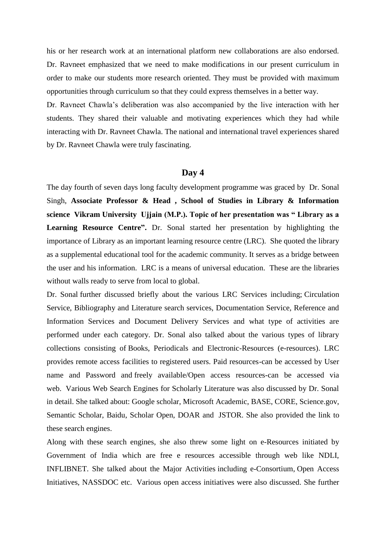his or her research work at an international platform new collaborations are also endorsed. Dr. Ravneet emphasized that we need to make modifications in our present curriculum in order to make our students more research oriented. They must be provided with maximum opportunities through curriculum so that they could express themselves in a better way.

Dr. Ravneet Chawla's deliberation was also accompanied by the live interaction with her students. They shared their valuable and motivating experiences which they had while interacting with Dr. Ravneet Chawla. The national and international travel experiences shared by Dr. Ravneet Chawla were truly fascinating.

#### **Day 4**

The day fourth of seven days long faculty development programme was graced by Dr. Sonal Singh, **Associate Professor & Head , School of Studies in Library & Information science Vikram University Ujjain (M.P.). Topic of her presentation was " Library as a Learning Resource Centre".** Dr. Sonal started her presentation by highlighting the importance of Library as an important learning resource centre (LRC). She quoted the library as a supplemental educational tool for the academic community. It serves as a bridge between the user and his information. LRC is a means of universal education. These are the libraries without walls ready to serve from local to global.

Dr. Sonal further discussed briefly about the various LRC Services including; Circulation Service, Bibliography and Literature search services, Documentation Service, Reference and Information Services and Document Delivery Services and what type of activities are performed under each category. Dr. Sonal also talked about the various types of library collections consisting of Books, Periodicals and Electronic-Resources (e-resources). LRC provides remote access facilities to registered users. Paid resources-can be accessed by User name and Password and freely available/Open access resources-can be accessed via web. Various Web Search Engines for Scholarly Literature was also discussed by Dr. Sonal in detail. She talked about: Google scholar, Microsoft Academic, BASE, CORE, Science.gov, Semantic Scholar, Baidu, Scholar Open, DOAR and JSTOR. She also provided the link to these search engines.

Along with these search engines, she also threw some light on e-Resources initiated by Government of India which are free e resources accessible through web like NDLI, INFLIBNET. She talked about the Major Activities including e-Consortium, Open Access Initiatives, NASSDOC etc. Various open access initiatives were also discussed. She further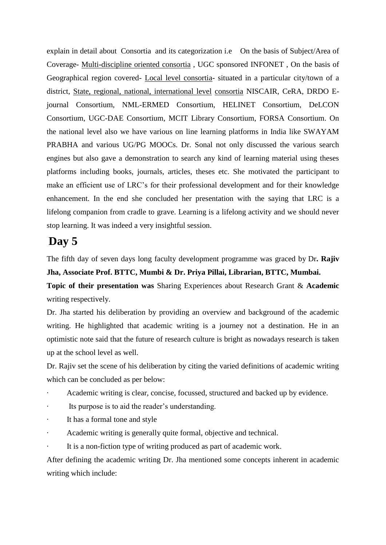explain in detail about Consortia and its categorization i.e On the basis of Subject/Area of Coverage- Multi-discipline oriented consortia , UGC sponsored INFONET , On the basis of Geographical region covered- Local level consortia- situated in a particular city/town of a district, State, regional, national, international level consortia NISCAIR, CeRA, DRDO Ejournal Consortium, NML-ERMED Consortium, HELINET Consortium, DeLCON Consortium, UGC-DAE Consortium, MCIT Library Consortium, FORSA Consortium. On the national level also we have various on line learning platforms in India like SWAYAM PRABHA and various UG/PG MOOCs. Dr. Sonal not only discussed the various search engines but also gave a demonstration to search any kind of learning material using theses platforms including books, journals, articles, theses etc. She motivated the participant to make an efficient use of LRC's for their professional development and for their knowledge enhancement. In the end she concluded her presentation with the saying that LRC is a lifelong companion from cradle to grave. Learning is a lifelong activity and we should never stop learning. It was indeed a very insightful session.

# **Day 5**

The fifth day of seven days long faculty development programme was graced by Dr**. Rajiv Jha, Associate Prof. BTTC, Mumbi & Dr. Priya Pillai, Librarian, BTTC, Mumbai.**

**Topic of their presentation was** Sharing Experiences about Research Grant & **Academic** writing respectively.

Dr. Jha started his deliberation by providing an overview and background of the academic writing. He highlighted that academic writing is a journey not a destination. He in an optimistic note said that the future of research culture is bright as nowadays research is taken up at the school level as well.

Dr. Rajiv set the scene of his deliberation by citing the varied definitions of academic writing which can be concluded as per below:

- Academic writing is clear, concise, focussed, structured and backed up by evidence.
- Its purpose is to aid the reader's understanding.
- It has a formal tone and style
- Academic writing is generally quite formal, objective and technical.
- It is a non-fiction type of writing produced as part of academic work.

After defining the academic writing Dr. Jha mentioned some concepts inherent in academic writing which include: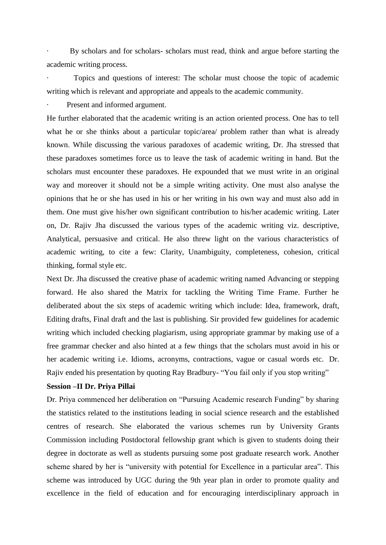By scholars and for scholars- scholars must read, think and argue before starting the academic writing process.

· Topics and questions of interest: The scholar must choose the topic of academic writing which is relevant and appropriate and appeals to the academic community.

Present and informed argument.

He further elaborated that the academic writing is an action oriented process. One has to tell what he or she thinks about a particular topic/area/ problem rather than what is already known. While discussing the various paradoxes of academic writing, Dr. Jha stressed that these paradoxes sometimes force us to leave the task of academic writing in hand. But the scholars must encounter these paradoxes. He expounded that we must write in an original way and moreover it should not be a simple writing activity. One must also analyse the opinions that he or she has used in his or her writing in his own way and must also add in them. One must give his/her own significant contribution to his/her academic writing. Later on, Dr. Rajiv Jha discussed the various types of the academic writing viz. descriptive, Analytical, persuasive and critical. He also threw light on the various characteristics of academic writing, to cite a few: Clarity, Unambiguity, completeness, cohesion, critical thinking, formal style etc.

Next Dr. Jha discussed the creative phase of academic writing named Advancing or stepping forward. He also shared the Matrix for tackling the Writing Time Frame. Further he deliberated about the six steps of academic writing which include: Idea, framework, draft, Editing drafts, Final draft and the last is publishing. Sir provided few guidelines for academic writing which included checking plagiarism, using appropriate grammar by making use of a free grammar checker and also hinted at a few things that the scholars must avoid in his or her academic writing i.e. Idioms, acronyms, contractions, vague or casual words etc. Dr. Rajiv ended his presentation by quoting Ray Bradbury- "You fail only if you stop writing"

#### **Session –II Dr. Priya Pillai**

Dr. Priya commenced her deliberation on "Pursuing Academic research Funding" by sharing the statistics related to the institutions leading in social science research and the established centres of research. She elaborated the various schemes run by University Grants Commission including Postdoctoral fellowship grant which is given to students doing their degree in doctorate as well as students pursuing some post graduate research work. Another scheme shared by her is "university with potential for Excellence in a particular area". This scheme was introduced by UGC during the 9th year plan in order to promote quality and excellence in the field of education and for encouraging interdisciplinary approach in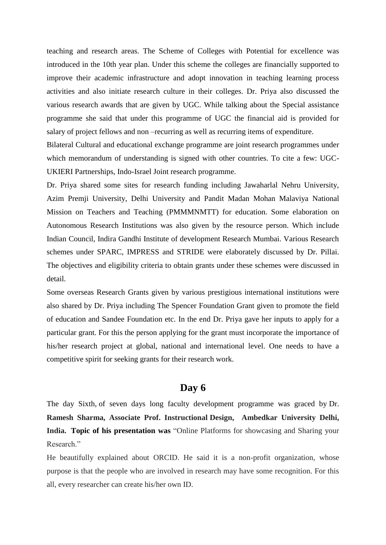teaching and research areas. The Scheme of Colleges with Potential for excellence was introduced in the 10th year plan. Under this scheme the colleges are financially supported to improve their academic infrastructure and adopt innovation in teaching learning process activities and also initiate research culture in their colleges. Dr. Priya also discussed the various research awards that are given by UGC. While talking about the Special assistance programme she said that under this programme of UGC the financial aid is provided for salary of project fellows and non –recurring as well as recurring items of expenditure.

Bilateral Cultural and educational exchange programme are joint research programmes under which memorandum of understanding is signed with other countries. To cite a few: UGC-UKIERI Partnerships, Indo-Israel Joint research programme.

Dr. Priya shared some sites for research funding including Jawaharlal Nehru University, Azim Premji University, Delhi University and Pandit Madan Mohan Malaviya National Mission on Teachers and Teaching (PMMMNMTT) for education. Some elaboration on Autonomous Research Institutions was also given by the resource person. Which include Indian Council, Indira Gandhi Institute of development Research Mumbai. Various Research schemes under SPARC, IMPRESS and STRIDE were elaborately discussed by Dr. Pillai. The objectives and eligibility criteria to obtain grants under these schemes were discussed in detail.

Some overseas Research Grants given by various prestigious international institutions were also shared by Dr. Priya including The Spencer Foundation Grant given to promote the field of education and Sandee Foundation etc. In the end Dr. Priya gave her inputs to apply for a particular grant. For this the person applying for the grant must incorporate the importance of his/her research project at global, national and international level. One needs to have a competitive spirit for seeking grants for their research work.

# **Day 6**

The day Sixth, of seven days long faculty development programme was graced by Dr. **Ramesh Sharma, Associate Prof. Instructional Design, Ambedkar University Delhi, India. Topic of his presentation was** "Online Platforms for showcasing and Sharing your Research."

He beautifully explained about ORCID. He said it is a non-profit organization, whose purpose is that the people who are involved in research may have some recognition. For this all, every researcher can create his/her own ID.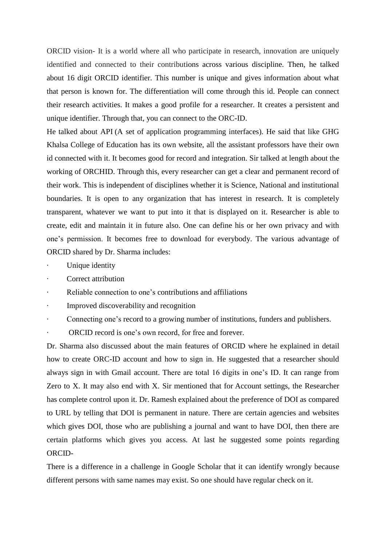ORCID vision- It is a world where all who participate in research, innovation are uniquely identified and connected to their contributions across various discipline. Then, he talked about 16 digit ORCID identifier. This number is unique and gives information about what that person is known for. The differentiation will come through this id. People can connect their research activities. It makes a good profile for a researcher. It creates a persistent and unique identifier. Through that, you can connect to the ORC-ID.

He talked about API (A set of application programming interfaces). He said that like GHG Khalsa College of Education has its own website, all the assistant professors have their own id connected with it. It becomes good for record and integration. Sir talked at length about the working of ORCHID. Through this, every researcher can get a clear and permanent record of their work. This is independent of disciplines whether it is Science, National and institutional boundaries. It is open to any organization that has interest in research. It is completely transparent, whatever we want to put into it that is displayed on it. Researcher is able to create, edit and maintain it in future also. One can define his or her own privacy and with one's permission. It becomes free to download for everybody. The various advantage of ORCID shared by Dr. Sharma includes:

- Unique identity
- Correct attribution
- Reliable connection to one's contributions and affiliations
- · Improved discoverability and recognition
- Connecting one's record to a growing number of institutions, funders and publishers.
- ORCID record is one's own record, for free and forever.

Dr. Sharma also discussed about the main features of ORCID where he explained in detail how to create ORC-ID account and how to sign in. He suggested that a researcher should always sign in with Gmail account. There are total 16 digits in one's ID. It can range from Zero to X. It may also end with X. Sir mentioned that for Account settings, the Researcher has complete control upon it. Dr. Ramesh explained about the preference of DOI as compared to URL by telling that DOI is permanent in nature. There are certain agencies and websites which gives DOI, those who are publishing a journal and want to have DOI, then there are certain platforms which gives you access. At last he suggested some points regarding ORCID-

There is a difference in a challenge in Google Scholar that it can identify wrongly because different persons with same names may exist. So one should have regular check on it.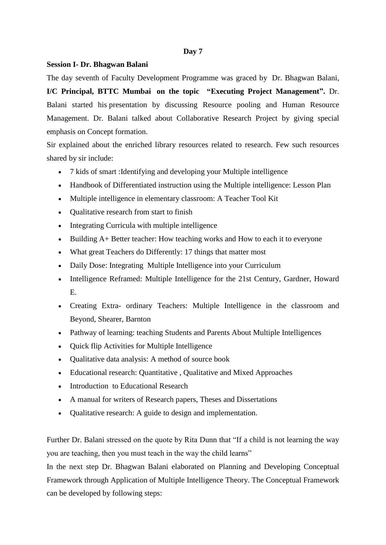#### **Day 7**

#### **Session I- Dr. Bhagwan Balani**

The day seventh of Faculty Development Programme was graced by Dr. Bhagwan Balani, **I/C Principal, BTTC Mumbai on the topic "Executing Project Management".** Dr. Balani started his presentation by discussing Resource pooling and Human Resource Management. Dr. Balani talked about Collaborative Research Project by giving special emphasis on Concept formation.

Sir explained about the enriched library resources related to research. Few such resources shared by sir include:

- 7 kids of smart :Identifying and developing your Multiple intelligence
- Handbook of Differentiated instruction using the Multiple intelligence: Lesson Plan
- Multiple intelligence in elementary classroom: A Teacher Tool Kit
- Qualitative research from start to finish
- Integrating Curricula with multiple intelligence
- Building A+ Better teacher: How teaching works and How to each it to everyone
- What great Teachers do Differently: 17 things that matter most
- Daily Dose: Integrating Multiple Intelligence into your Curriculum
- Intelligence Reframed: Multiple Intelligence for the 21st Century, Gardner, Howard E.
- Creating Extra- ordinary Teachers: Multiple Intelligence in the classroom and Beyond, Shearer, Barnton
- Pathway of learning: teaching Students and Parents About Multiple Intelligences
- Quick flip Activities for Multiple Intelligence
- Qualitative data analysis: A method of source book
- Educational research: Quantitative , Qualitative and Mixed Approaches
- Introduction to Educational Research
- A manual for writers of Research papers, Theses and Dissertations
- Qualitative research: A guide to design and implementation.

Further Dr. Balani stressed on the quote by Rita Dunn that "If a child is not learning the way you are teaching, then you must teach in the way the child learns"

In the next step Dr. Bhagwan Balani elaborated on Planning and Developing Conceptual Framework through Application of Multiple Intelligence Theory. The Conceptual Framework can be developed by following steps: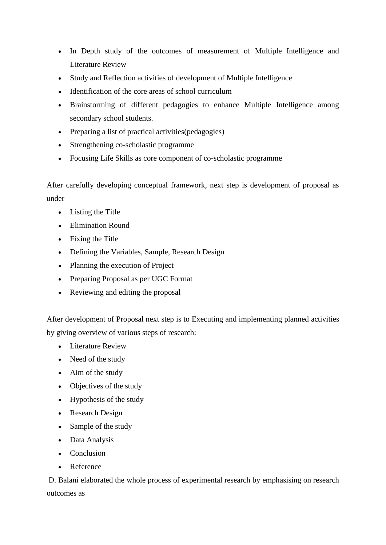- In Depth study of the outcomes of measurement of Multiple Intelligence and Literature Review
- Study and Reflection activities of development of Multiple Intelligence
- Identification of the core areas of school curriculum
- Brainstorming of different pedagogies to enhance Multiple Intelligence among secondary school students.
- Preparing a list of practical activities (pedagogies)
- Strengthening co-scholastic programme
- Focusing Life Skills as core component of co-scholastic programme

After carefully developing conceptual framework, next step is development of proposal as under

- Listing the Title
- Elimination Round
- Fixing the Title
- Defining the Variables, Sample, Research Design
- Planning the execution of Project
- Preparing Proposal as per UGC Format
- Reviewing and editing the proposal

After development of Proposal next step is to Executing and implementing planned activities by giving overview of various steps of research:

- Literature Review
- Need of the study
- Aim of the study
- Objectives of the study
- Hypothesis of the study
- Research Design
- Sample of the study
- Data Analysis
- Conclusion
- Reference

D. Balani elaborated the whole process of experimental research by emphasising on research outcomes as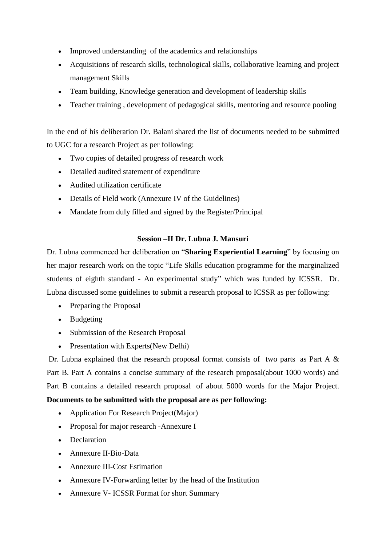- Improved understanding of the academics and relationships
- Acquisitions of research skills, technological skills, collaborative learning and project management Skills
- Team building, Knowledge generation and development of leadership skills
- Teacher training , development of pedagogical skills, mentoring and resource pooling

In the end of his deliberation Dr. Balani shared the list of documents needed to be submitted to UGC for a research Project as per following:

- Two copies of detailed progress of research work
- Detailed audited statement of expenditure
- Audited utilization certificate
- Details of Field work (Annexure IV of the Guidelines)
- Mandate from duly filled and signed by the Register/Principal

### **Session –II Dr. Lubna J. Mansuri**

Dr. Lubna commenced her deliberation on "**Sharing Experiential Learning**" by focusing on her major research work on the topic "Life Skills education programme for the marginalized students of eighth standard - An experimental study" which was funded by ICSSR. Dr. Lubna discussed some guidelines to submit a research proposal to ICSSR as per following:

- Preparing the Proposal
- Budgeting
- Submission of the Research Proposal
- Presentation with Experts(New Delhi)

Dr. Lubna explained that the research proposal format consists of two parts as Part A & Part B. Part A contains a concise summary of the research proposal(about 1000 words) and Part B contains a detailed research proposal of about 5000 words for the Major Project.

# **Documents to be submitted with the proposal are as per following:**

- Application For Research Project(Major)
- Proposal for major research -Annexure I
- Declaration
- Annexure II-Bio-Data
- Annexure III-Cost Estimation
- Annexure IV-Forwarding letter by the head of the Institution
- Annexure V- ICSSR Format for short Summary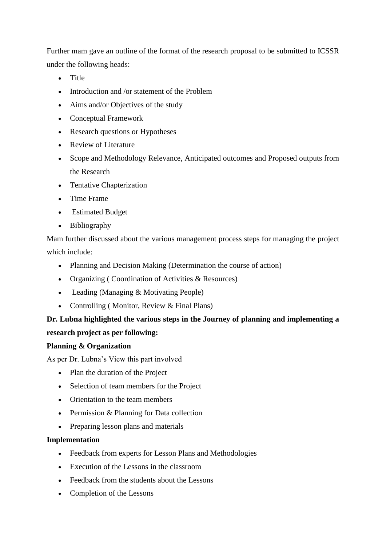Further mam gave an outline of the format of the research proposal to be submitted to ICSSR under the following heads:

- Title
- Introduction and /or statement of the Problem
- Aims and/or Objectives of the study
- Conceptual Framework
- Research questions or Hypotheses
- Review of Literature
- Scope and Methodology Relevance, Anticipated outcomes and Proposed outputs from the Research
- Tentative Chapterization
- Time Frame
- Estimated Budget
- Bibliography

Mam further discussed about the various management process steps for managing the project which include:

- Planning and Decision Making (Determination the course of action)
- Organizing ( Coordination of Activities & Resources)
- Leading (Managing & Motivating People)
- Controlling (Monitor, Review & Final Plans)

# **Dr. Lubna highlighted the various steps in the Journey of planning and implementing a**

## **research project as per following:**

## **Planning & Organization**

As per Dr. Lubna's View this part involved

- Plan the duration of the Project
- Selection of team members for the Project
- Orientation to the team members
- Permission & Planning for Data collection
- Preparing lesson plans and materials

## **Implementation**

- Feedback from experts for Lesson Plans and Methodologies
- Execution of the Lessons in the classroom
- Feedback from the students about the Lessons
- Completion of the Lessons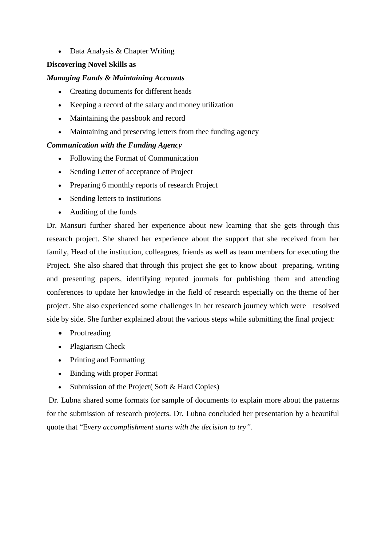• Data Analysis & Chapter Writing

### **Discovering Novel Skills as**

#### *Managing Funds & Maintaining Accounts*

- Creating documents for different heads
- Keeping a record of the salary and money utilization
- Maintaining the passbook and record
- Maintaining and preserving letters from thee funding agency

### *Communication with the Funding Agency*

- Following the Format of Communication
- Sending Letter of acceptance of Project
- Preparing 6 monthly reports of research Project
- Sending letters to institutions
- Auditing of the funds

Dr. Mansuri further shared her experience about new learning that she gets through this research project. She shared her experience about the support that she received from her family, Head of the institution, colleagues, friends as well as team members for executing the Project. She also shared that through this project she get to know about preparing, writing and presenting papers, identifying reputed journals for publishing them and attending conferences to update her knowledge in the field of research especially on the theme of her project. She also experienced some challenges in her research journey which were resolved side by side. She further explained about the various steps while submitting the final project:

- Proofreading
- Plagiarism Check
- Printing and Formatting
- Binding with proper Format
- Submission of the Project (Soft & Hard Copies)

Dr. Lubna shared some formats for sample of documents to explain more about the patterns for the submission of research projects. Dr. Lubna concluded her presentation by a beautiful quote that "E*very accomplishment starts with the decision to try".*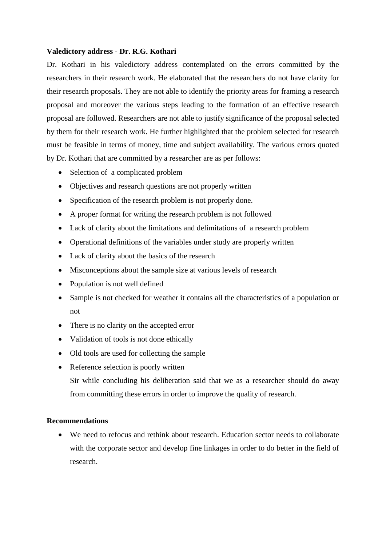#### **Valedictory address - Dr. R.G. Kothari**

Dr. Kothari in his valedictory address contemplated on the errors committed by the researchers in their research work. He elaborated that the researchers do not have clarity for their research proposals. They are not able to identify the priority areas for framing a research proposal and moreover the various steps leading to the formation of an effective research proposal are followed. Researchers are not able to justify significance of the proposal selected by them for their research work. He further highlighted that the problem selected for research must be feasible in terms of money, time and subject availability. The various errors quoted by Dr. Kothari that are committed by a researcher are as per follows:

- Selection of a complicated problem
- Objectives and research questions are not properly written
- Specification of the research problem is not properly done.
- A proper format for writing the research problem is not followed
- Lack of clarity about the limitations and delimitations of a research problem
- Operational definitions of the variables under study are properly written
- Lack of clarity about the basics of the research
- Misconceptions about the sample size at various levels of research
- Population is not well defined
- Sample is not checked for weather it contains all the characteristics of a population or not
- There is no clarity on the accepted error
- Validation of tools is not done ethically
- Old tools are used for collecting the sample
- Reference selection is poorly written

Sir while concluding his deliberation said that we as a researcher should do away from committing these errors in order to improve the quality of research.

#### **Recommendations**

 We need to refocus and rethink about research. Education sector needs to collaborate with the corporate sector and develop fine linkages in order to do better in the field of research.